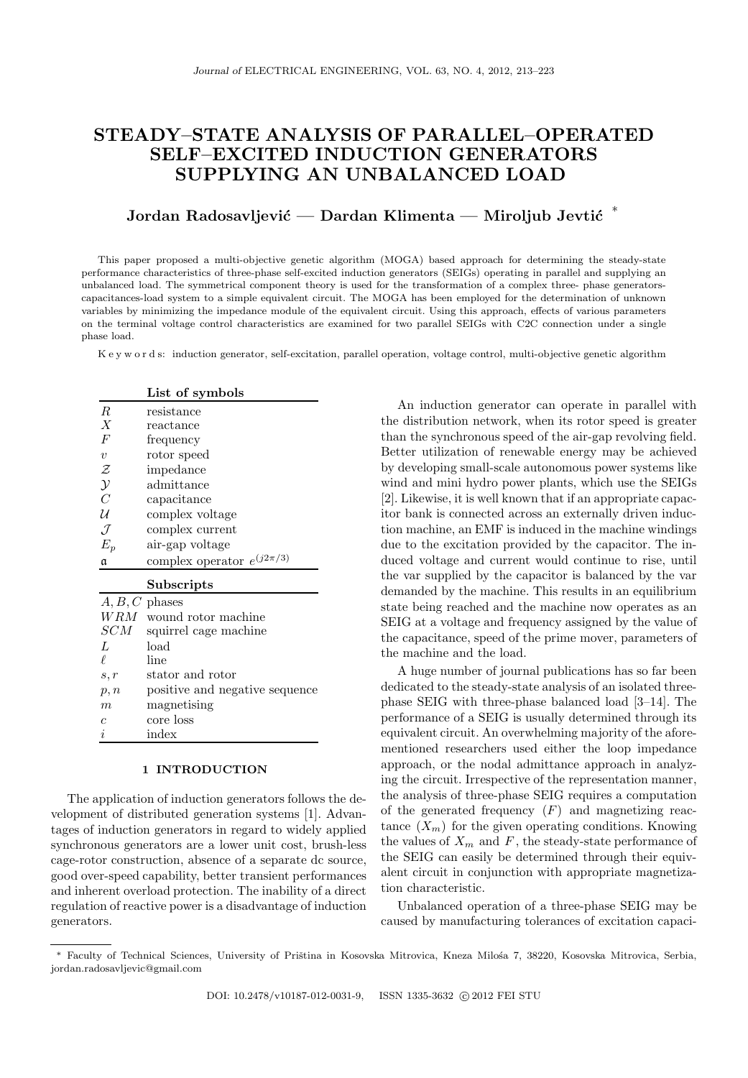# STEADY–STATE ANALYSIS OF PARALLEL–OPERATED SELF–EXCITED INDUCTION GENERATORS SUPPLYING AN UNBALANCED LOAD

## Jordan Radosavljević — Dardan Klimenta — Miroljub Jevtić  $\degree$

This paper proposed a multi-objective genetic algorithm (MOGA) based approach for determining the steady-state performance characteristics of three-phase self-excited induction generators (SEIGs) operating in parallel and supplying an unbalanced load. The symmetrical component theory is used for the transformation of a complex three- phase generatorscapacitances-load system to a simple equivalent circuit. The MOGA has been employed for the determination of unknown variables by minimizing the impedance module of the equivalent circuit. Using this approach, effects of various parameters on the terminal voltage control characteristics are examined for two parallel SEIGs with C2C connection under a single phase load.

K e y w o r d s: induction generator, self-excitation, parallel operation, voltage control, multi-objective genetic algorithm

|                                                              | List of symbols                  |
|--------------------------------------------------------------|----------------------------------|
| R                                                            | resistance                       |
| Х                                                            | reactance                        |
| $\,F$                                                        | frequency                        |
| $\overline{v}$                                               | rotor speed                      |
|                                                              | impedance                        |
| $\begin{array}{c} \mathcal{Z} \ \mathcal{Y} \ C \end{array}$ | admittance                       |
|                                                              | capacitance                      |
| $\mathcal{U}$                                                | complex voltage                  |
| $\mathcal J$                                                 | complex current                  |
| $E_p$                                                        | air-gap voltage                  |
| $\mathfrak a$                                                | complex operator $e^{(j2\pi/3)}$ |
|                                                              |                                  |
|                                                              | Subscripts                       |
| $A, B, C$ phases                                             |                                  |
|                                                              | WRM wound rotor machine          |
| SCM                                                          | squirrel cage machine            |
| L                                                            | load                             |
| $\ell$                                                       | line                             |
| s, r                                                         | stator and rotor                 |
| p, n                                                         | positive and negative sequence   |
| $\boldsymbol{m}$                                             | magnetising                      |
| $\overline{c}$<br>$\dot{i}$                                  | core loss                        |

#### 1 INTRODUCTION

The application of induction generators follows the development of distributed generation systems [1]. Advantages of induction generators in regard to widely applied synchronous generators are a lower unit cost, brush-less cage-rotor construction, absence of a separate dc source, good over-speed capability, better transient performances and inherent overload protection. The inability of a direct regulation of reactive power is a disadvantage of induction generators.

An induction generator can operate in parallel with the distribution network, when its rotor speed is greater than the synchronous speed of the air-gap revolving field. Better utilization of renewable energy may be achieved by developing small-scale autonomous power systems like wind and mini hydro power plants, which use the SEIGs [2]. Likewise, it is well known that if an appropriate capacitor bank is connected across an externally driven induction machine, an EMF is induced in the machine windings due to the excitation provided by the capacitor. The induced voltage and current would continue to rise, until the var supplied by the capacitor is balanced by the var demanded by the machine. This results in an equilibrium state being reached and the machine now operates as an SEIG at a voltage and frequency assigned by the value of the capacitance, speed of the prime mover, parameters of the machine and the load.

A huge number of journal publications has so far been dedicated to the steady-state analysis of an isolated threephase SEIG with three-phase balanced load [3–14]. The performance of a SEIG is usually determined through its equivalent circuit. An overwhelming majority of the aforementioned researchers used either the loop impedance approach, or the nodal admittance approach in analyzing the circuit. Irrespective of the representation manner, the analysis of three-phase SEIG requires a computation of the generated frequency  $(F)$  and magnetizing reactance  $(X_m)$  for the given operating conditions. Knowing the values of  $X_m$  and F, the steady-state performance of the SEIG can easily be determined through their equivalent circuit in conjunction with appropriate magnetization characteristic.

Unbalanced operation of a three-phase SEIG may be caused by manufacturing tolerances of excitation capaci-

<sup>\*</sup> Faculty of Technical Sciences, University of Priština in Kosovska Mitrovica, Kneza Milośa 7, 38220, Kosovska Mitrovica, Serbia, jordan.radosavljevic@gmail.com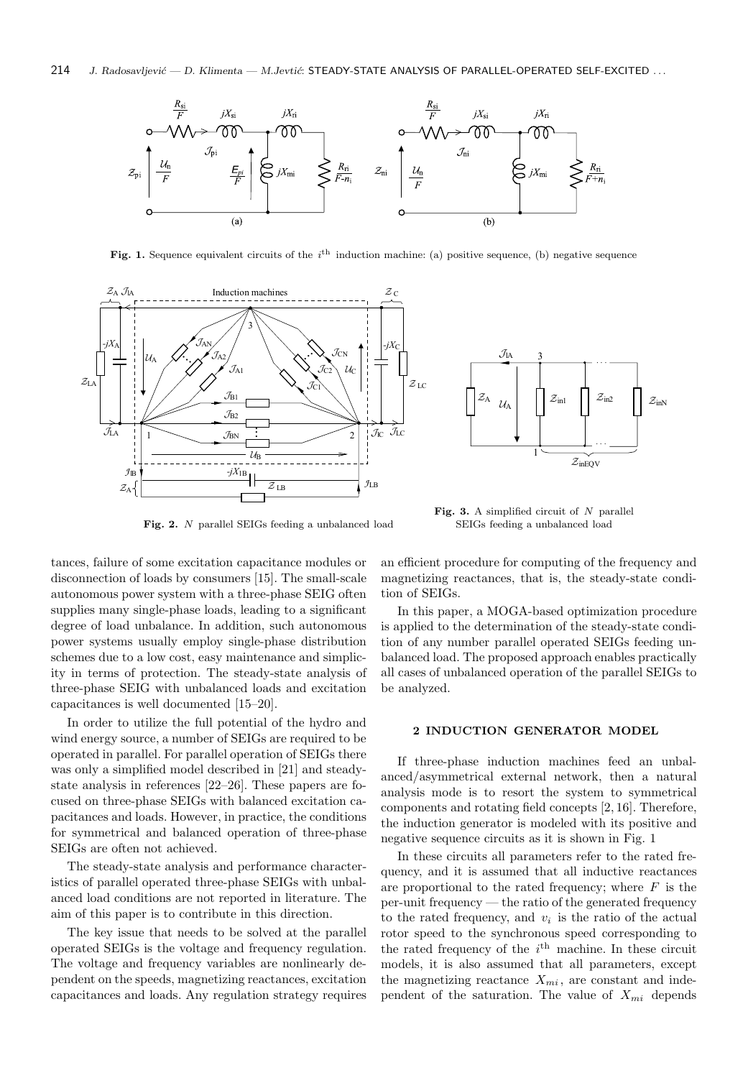

Fig. 1. Sequence equivalent circuits of the  $i^{\text{th}}$  induction machine: (a) positive sequence, (b) negative sequence





Fig. 2. N parallel SEIGs feeding a unbalanced load

Fig. 3. A simplified circuit of  $N$  parallel SEIGs feeding a unbalanced load

tances, failure of some excitation capacitance modules or disconnection of loads by consumers [15]. The small-scale autonomous power system with a three-phase SEIG often supplies many single-phase loads, leading to a significant degree of load unbalance. In addition, such autonomous power systems usually employ single-phase distribution schemes due to a low cost, easy maintenance and simplicity in terms of protection. The steady-state analysis of three-phase SEIG with unbalanced loads and excitation capacitances is well documented [15–20].

In order to utilize the full potential of the hydro and wind energy source, a number of SEIGs are required to be operated in parallel. For parallel operation of SEIGs there was only a simplified model described in [21] and steadystate analysis in references [22–26]. These papers are focused on three-phase SEIGs with balanced excitation capacitances and loads. However, in practice, the conditions for symmetrical and balanced operation of three-phase SEIGs are often not achieved.

The steady-state analysis and performance characteristics of parallel operated three-phase SEIGs with unbalanced load conditions are not reported in literature. The aim of this paper is to contribute in this direction.

The key issue that needs to be solved at the parallel operated SEIGs is the voltage and frequency regulation. The voltage and frequency variables are nonlinearly dependent on the speeds, magnetizing reactances, excitation capacitances and loads. Any regulation strategy requires an efficient procedure for computing of the frequency and magnetizing reactances, that is, the steady-state condition of SEIGs.

In this paper, a MOGA-based optimization procedure is applied to the determination of the steady-state condition of any number parallel operated SEIGs feeding unbalanced load. The proposed approach enables practically all cases of unbalanced operation of the parallel SEIGs to be analyzed.

## 2 INDUCTION GENERATOR MODEL

If three-phase induction machines feed an unbalanced/asymmetrical external network, then a natural analysis mode is to resort the system to symmetrical components and rotating field concepts [2, 16]. Therefore, the induction generator is modeled with its positive and negative sequence circuits as it is shown in Fig. 1

In these circuits all parameters refer to the rated frequency, and it is assumed that all inductive reactances are proportional to the rated frequency; where  $F$  is the per-unit frequency — the ratio of the generated frequency to the rated frequency, and  $v_i$  is the ratio of the actual rotor speed to the synchronous speed corresponding to the rated frequency of the  $i<sup>th</sup>$  machine. In these circuit models, it is also assumed that all parameters, except the magnetizing reactance  $X_{mi}$ , are constant and independent of the saturation. The value of  $X_{mi}$  depends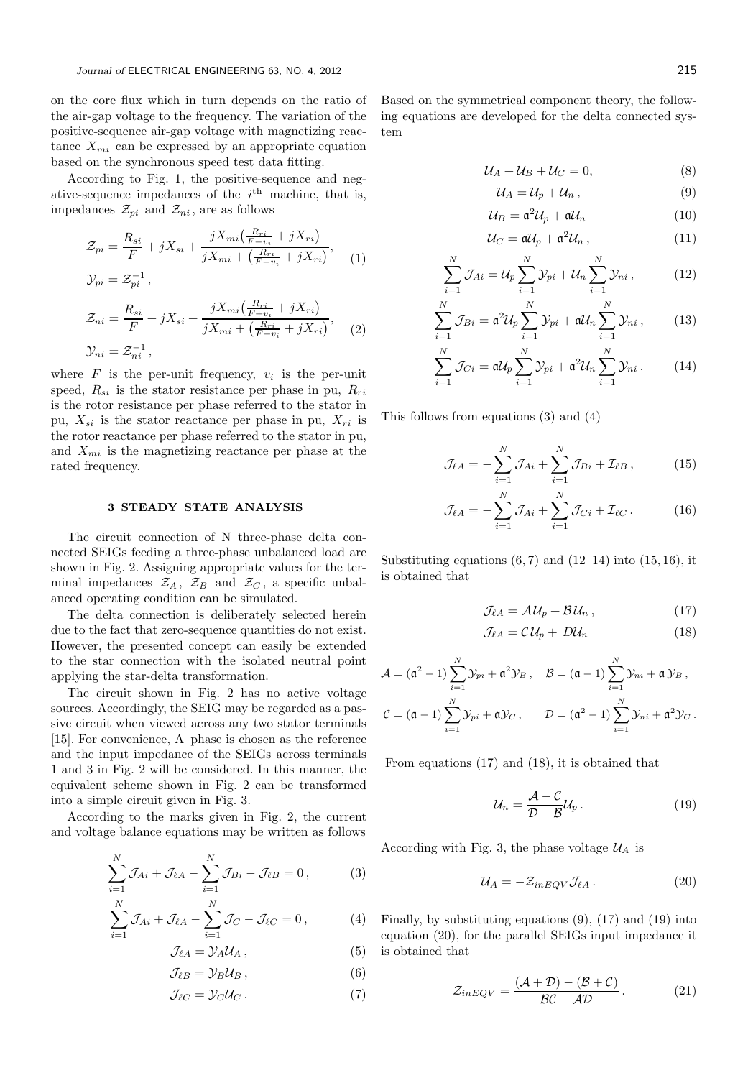on the core flux which in turn depends on the ratio of the air-gap voltage to the frequency. The variation of the positive-sequence air-gap voltage with magnetizing reactance  $X_{mi}$  can be expressed by an appropriate equation based on the synchronous speed test data fitting.

According to Fig. 1, the positive-sequence and negative-sequence impedances of the  $i<sup>th</sup>$  machine, that is, impedances  $\mathcal{Z}_{pi}$  and  $\mathcal{Z}_{ni}$ , are as follows

$$
\mathcal{Z}_{pi} = \frac{R_{si}}{F} + jX_{si} + \frac{jX_{mi}\left(\frac{R_{ri}}{F - v_i} + jX_{ri}\right)}{jX_{mi} + \left(\frac{R_{ri}}{F - v_i} + jX_{ri}\right)},
$$
  

$$
\mathcal{Y}_{pi} = \mathcal{Z}_{pi}^{-1},
$$
 (1)

$$
\mathcal{Z}_{ni} = \frac{R_{si}}{F} + jX_{si} + \frac{jX_{mi}\left(\frac{R_{ri}}{F+v_i} + jX_{ri}\right)}{jX_{mi} + \left(\frac{R_{ri}}{F+v_i} + jX_{ri}\right)},
$$
  

$$
\mathcal{Y}_{ni} = \mathcal{Z}_{ni}^{-1},
$$
 (2)

where  $F$  is the per-unit frequency,  $v_i$  is the per-unit speed,  $R_{si}$  is the stator resistance per phase in pu,  $R_{ri}$ is the rotor resistance per phase referred to the stator in pu,  $X_{si}$  is the stator reactance per phase in pu,  $X_{ri}$  is the rotor reactance per phase referred to the stator in pu, and  $X_{mi}$  is the magnetizing reactance per phase at the rated frequency.

### 3 STEADY STATE ANALYSIS

The circuit connection of N three-phase delta connected SEIGs feeding a three-phase unbalanced load are shown in Fig. 2. Assigning appropriate values for the terminal impedances  $\mathcal{Z}_A$ ,  $\mathcal{Z}_B$  and  $\mathcal{Z}_C$ , a specific unbalanced operating condition can be simulated.

The delta connection is deliberately selected herein due to the fact that zero-sequence quantities do not exist. However, the presented concept can easily be extended to the star connection with the isolated neutral point applying the star-delta transformation.

The circuit shown in Fig. 2 has no active voltage sources. Accordingly, the SEIG may be regarded as a passive circuit when viewed across any two stator terminals [15]. For convenience, A–phase is chosen as the reference and the input impedance of the SEIGs across terminals 1 and 3 in Fig. 2 will be considered. In this manner, the equivalent scheme shown in Fig. 2 can be transformed into a simple circuit given in Fig. 3.

According to the marks given in Fig. 2, the current and voltage balance equations may be written as follows

$$
\sum_{i=1}^{N} \mathcal{J}_{Ai} + \mathcal{J}_{\ell A} - \sum_{i=1}^{N} \mathcal{J}_{Bi} - \mathcal{J}_{\ell B} = 0, \qquad (3)
$$

$$
\sum_{i=1}^{N} \mathcal{J}_{Ai} + \mathcal{J}_{\ell A} - \sum_{i=1}^{N} \mathcal{J}_{C} - \mathcal{J}_{\ell C} = 0, \qquad (4)
$$

$$
\mathcal{J}_{\ell A} = \mathcal{Y}_A \mathcal{U}_A \,, \tag{5}
$$

$$
\mathcal{J}_{\ell B} = \mathcal{Y}_B \mathcal{U}_B , \qquad (6)
$$

$$
\mathcal{J}_{\ell C} = \mathcal{Y}_C \mathcal{U}_C \,. \tag{7}
$$

Based on the symmetrical component theory, the following equations are developed for the delta connected system

$$
\mathcal{U}_A + \mathcal{U}_B + \mathcal{U}_C = 0,\tag{8}
$$

$$
\mathcal{U}_A = \mathcal{U}_p + \mathcal{U}_n, \qquad (9)
$$

$$
\mathcal{U}_B = \mathfrak{a}^2 \mathcal{U}_p + \mathfrak{a} \mathcal{U}_n \tag{10}
$$

$$
\mathcal{U}_C = \mathfrak{a}\mathcal{U}_p + \mathfrak{a}^2 \mathcal{U}_n, \qquad (11)
$$

$$
\sum_{i=1}^{N} \mathcal{J}_{Ai} = \mathcal{U}_p \sum_{i=1}^{N} \mathcal{Y}_{pi} + \mathcal{U}_n \sum_{i=1}^{N} \mathcal{Y}_{ni}, \qquad (12)
$$

$$
\sum_{i=1}^{N} \mathcal{J}_{Bi} = \mathfrak{a}^2 \mathcal{U}_p \sum_{i=1}^{N} \mathcal{Y}_{pi} + \mathfrak{a} \mathcal{U}_n \sum_{i=1}^{N} \mathcal{Y}_{ni} , \qquad (13)
$$

$$
\sum_{i=1}^{N} \mathcal{J}_{Ci} = \mathfrak{a} \mathcal{U}_p \sum_{i=1}^{N} \mathcal{Y}_{pi} + \mathfrak{a}^2 \mathcal{U}_n \sum_{i=1}^{N} \mathcal{Y}_{ni}.
$$
 (14)

This follows from equations (3) and (4)

$$
\mathcal{J}_{\ell A} = -\sum_{i=1}^{N} \mathcal{J}_{Ai} + \sum_{i=1}^{N} \mathcal{J}_{Bi} + \mathcal{I}_{\ell B}, \qquad (15)
$$

$$
\mathcal{J}_{\ell A} = -\sum_{i=1}^{N} \mathcal{J}_{Ai} + \sum_{i=1}^{N} \mathcal{J}_{Ci} + \mathcal{I}_{\ell C} \,. \tag{16}
$$

Substituting equations  $(6, 7)$  and  $(12–14)$  into  $(15, 16)$ , it is obtained that

$$
\mathcal{J}_{\ell A} = \mathcal{A} \mathcal{U}_p + \mathcal{B} \mathcal{U}_n , \qquad (17)
$$

$$
\mathcal{J}_{\ell A} = \mathcal{C} \mathcal{U}_p + D \mathcal{U}_n \tag{18}
$$

$$
\mathcal{A} = (\mathfrak{a}^2 - 1) \sum_{i=1}^N \mathcal{Y}_{pi} + \mathfrak{a}^2 \mathcal{Y}_B, \quad \mathcal{B} = (\mathfrak{a} - 1) \sum_{i=1}^N \mathcal{Y}_{ni} + \mathfrak{a} \mathcal{Y}_B,
$$
  

$$
\mathcal{C} = (\mathfrak{a} - 1) \sum_{i=1}^N \mathcal{Y}_{pi} + \mathfrak{a} \mathcal{Y}_C, \qquad \mathcal{D} = (\mathfrak{a}^2 - 1) \sum_{i=1}^N \mathcal{Y}_{ni} + \mathfrak{a}^2 \mathcal{Y}_C.
$$

From equations (17) and (18), it is obtained that

$$
\mathcal{U}_n = \frac{\mathcal{A} - \mathcal{C}}{\mathcal{D} - \mathcal{B}} \mathcal{U}_p \,. \tag{19}
$$

According with Fig. 3, the phase voltage  $\mathcal{U}_A$  is

$$
\mathcal{U}_A = -\mathcal{Z}_{inEQV}\mathcal{J}_{\ell A} \,. \tag{20}
$$

Finally, by substituting equations  $(9)$ ,  $(17)$  and  $(19)$  into equation (20), for the parallel SEIGs input impedance it is obtained that

$$
\mathcal{Z}_{inEQV} = \frac{(\mathcal{A} + \mathcal{D}) - (\mathcal{B} + \mathcal{C})}{\mathcal{B}\mathcal{C} - \mathcal{A}\mathcal{D}}.
$$
 (21)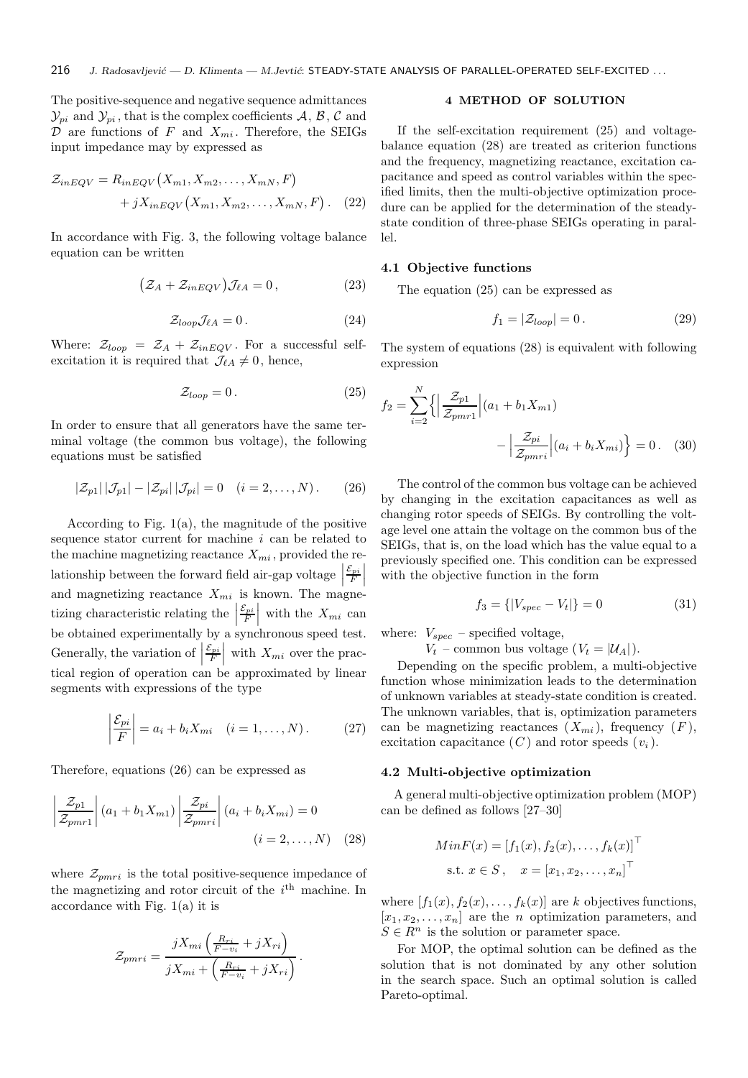The positive-sequence and negative sequence admittances  $\mathcal{Y}_{pi}$  and  $\mathcal{Y}_{pi}$ , that is the complex coefficients A, B, C and  $\mathcal D$  are functions of F and  $X_{mi}$ . Therefore, the SEIGs input impedance may by expressed as

$$
\mathcal{Z}_{inEQV} = R_{inEQV} (X_{m1}, X_{m2}, \dots, X_{mN}, F)
$$

$$
+ j X_{inEQV} (X_{m1}, X_{m2}, \dots, X_{mN}, F).
$$
 (22)

In accordance with Fig. 3, the following voltage balance equation can be written

$$
(\mathcal{Z}_A + \mathcal{Z}_{inEQV})\mathcal{J}_{\ell A} = 0, \qquad (23)
$$

$$
\mathcal{Z}_{loop}\mathcal{J}_{\ell A} = 0. \tag{24}
$$

Where:  $\mathcal{Z}_{loop} = \mathcal{Z}_A + \mathcal{Z}_{inEQV}$ . For a successful selfexcitation it is required that  $\mathcal{J}_{\ell A} \neq 0$ , hence,

$$
\mathcal{Z}_{loop} = 0. \tag{25}
$$

In order to ensure that all generators have the same terminal voltage (the common bus voltage), the following equations must be satisfied

$$
|\mathcal{Z}_{p1}||\mathcal{J}_{p1}| - |\mathcal{Z}_{pi}||\mathcal{J}_{pi}| = 0 \quad (i = 2, \dots, N). \tag{26}
$$

According to Fig.  $1(a)$ , the magnitude of the positive sequence stator current for machine  $i$  can be related to the machine magnetizing reactance  $X_{mi}$ , provided the relationship between the forward field air-gap voltage  $\left|\frac{\mathcal{E}_{pi}}{F}\right|$ and magnetizing reactance  $X_{mi}$  is known. The magne- $\frac{p_i}{F}$  $\overline{\phantom{a}}$ tizing characteristic relating the  $\left|\frac{\mathcal{E}_{pi}}{F}\right|$ be obtained experimentally by a synchronous speed test.  $\mathbb{E}_{\overline{F}}$  with the  $X_{mi}$  can Generally, the variation of  $\vert$  $\mathcal{E}_{pi}$  $\left| \frac{\mathcal{E}_{pi}}{F} \right|$  with  $X_{mi}$  over the practical region of operation can be approximated by linear segments with expressions of the type

$$
\left|\frac{\mathcal{E}_{pi}}{F}\right| = a_i + b_i X_{mi} \quad (i = 1, \dots, N). \tag{27}
$$

Therefore, equations (26) can be expressed as

$$
\left| \frac{\mathcal{Z}_{p1}}{\mathcal{Z}_{pm1}} \right| (a_1 + b_1 X_{m1}) \left| \frac{\mathcal{Z}_{pi}}{\mathcal{Z}_{pm1}} \right| (a_i + b_i X_{mi}) = 0
$$
  
(*i* = 2, ..., *N*) (28)

where  $\mathcal{Z}_{pmri}$  is the total positive-sequence impedance of the magnetizing and rotor circuit of the  $i<sup>th</sup>$  machine. In accordance with Fig. 1(a) it is

$$
\mathcal{Z}_{p m r i} = \frac{j X_{m i} \left( \frac{R_{r i}}{F - v_i} + j X_{r i} \right)}{j X_{m i} + \left( \frac{R_{r i}}{F - v_i} + j X_{r i} \right)}.
$$

## 4 METHOD OF SOLUTION

If the self-excitation requirement (25) and voltagebalance equation (28) are treated as criterion functions and the frequency, magnetizing reactance, excitation capacitance and speed as control variables within the specified limits, then the multi-objective optimization procedure can be applied for the determination of the steadystate condition of three-phase SEIGs operating in parallel.

## 4.1 Objective functions

The equation (25) can be expressed as

$$
f_1 = |\mathcal{Z}_{loop}| = 0. \tag{29}
$$

The system of equations (28) is equivalent with following expression

$$
f_2 = \sum_{i=2}^{N} \left\{ \left| \frac{\mathcal{Z}_{p1}}{\mathcal{Z}_{pmr1}} \right| (a_1 + b_1 X_{m1}) - \left| \frac{\mathcal{Z}_{pi}}{\mathcal{Z}_{pmri}} \right| (a_i + b_i X_{mi}) \right\} = 0. \quad (30)
$$

The control of the common bus voltage can be achieved by changing in the excitation capacitances as well as changing rotor speeds of SEIGs. By controlling the voltage level one attain the voltage on the common bus of the SEIGs, that is, on the load which has the value equal to a previously specified one. This condition can be expressed with the objective function in the form

$$
f_3 = \{|V_{spec} - V_t|\} = 0\tag{31}
$$

where:  $V_{spec}$  – specified voltage,

 $V_t$  – common bus voltage  $(V_t = |\mathcal{U}_A|)$ .

Depending on the specific problem, a multi-objective function whose minimization leads to the determination of unknown variables at steady-state condition is created. The unknown variables, that is, optimization parameters can be magnetizing reactances  $(X_{mi})$ , frequency  $(F)$ , excitation capacitance  $(C)$  and rotor speeds  $(v_i)$ .

#### 4.2 Multi-objective optimization

A general multi-objective optimization problem (MOP) can be defined as follows [27–30]

MinF(x) = 
$$
[f_1(x), f_2(x), ..., f_k(x)]^{\top}
$$
  
s.t.  $x \in S$ ,  $x = [x_1, x_2, ..., x_n]^{\top}$ 

where  $[f_1(x), f_2(x), \ldots, f_k(x)]$  are k objectives functions,  $[x_1, x_2, \ldots, x_n]$  are the *n* optimization parameters, and  $S \in \mathbb{R}^n$  is the solution or parameter space.

For MOP, the optimal solution can be defined as the solution that is not dominated by any other solution in the search space. Such an optimal solution is called Pareto-optimal.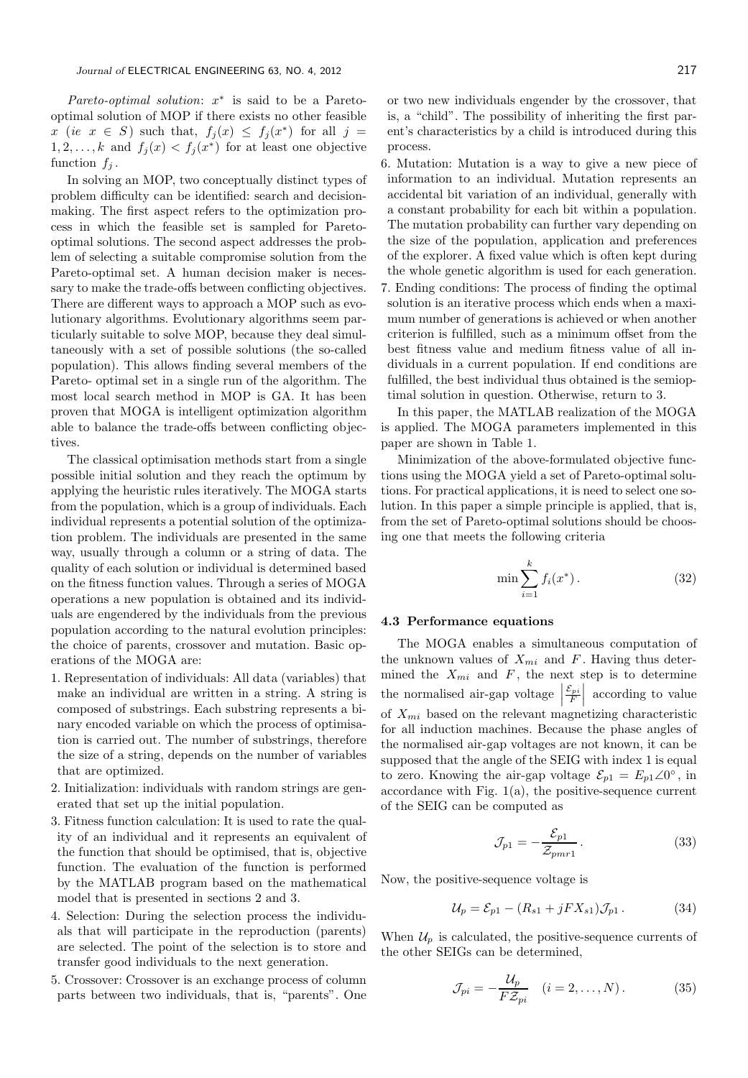Pareto-optimal solution:  $x^*$  is said to be a Paretooptimal solution of MOP if there exists no other feasible x (ie  $x \in S$ ) such that,  $f_j(x) \leq f_j(x^*)$  for all  $j =$  $1, 2, \ldots, k$  and  $f_j(x) < f_j(x^*)$  for at least one objective function  $f_i$ .

In solving an MOP, two conceptually distinct types of problem difficulty can be identified: search and decisionmaking. The first aspect refers to the optimization process in which the feasible set is sampled for Paretooptimal solutions. The second aspect addresses the problem of selecting a suitable compromise solution from the Pareto-optimal set. A human decision maker is necessary to make the trade-offs between conflicting objectives. There are different ways to approach a MOP such as evolutionary algorithms. Evolutionary algorithms seem particularly suitable to solve MOP, because they deal simultaneously with a set of possible solutions (the so-called population). This allows finding several members of the Pareto- optimal set in a single run of the algorithm. The most local search method in MOP is GA. It has been proven that MOGA is intelligent optimization algorithm able to balance the trade-offs between conflicting objectives.

The classical optimisation methods start from a single possible initial solution and they reach the optimum by applying the heuristic rules iteratively. The MOGA starts from the population, which is a group of individuals. Each individual represents a potential solution of the optimization problem. The individuals are presented in the same way, usually through a column or a string of data. The quality of each solution or individual is determined based on the fitness function values. Through a series of MOGA operations a new population is obtained and its individuals are engendered by the individuals from the previous population according to the natural evolution principles: the choice of parents, crossover and mutation. Basic operations of the MOGA are:

- 1. Representation of individuals: All data (variables) that make an individual are written in a string. A string is composed of substrings. Each substring represents a binary encoded variable on which the process of optimisation is carried out. The number of substrings, therefore the size of a string, depends on the number of variables that are optimized.
- 2. Initialization: individuals with random strings are generated that set up the initial population.
- 3. Fitness function calculation: It is used to rate the quality of an individual and it represents an equivalent of the function that should be optimised, that is, objective function. The evaluation of the function is performed by the MATLAB program based on the mathematical model that is presented in sections 2 and 3.
- 4. Selection: During the selection process the individuals that will participate in the reproduction (parents) are selected. The point of the selection is to store and transfer good individuals to the next generation.
- 5. Crossover: Crossover is an exchange process of column parts between two individuals, that is, "parents". One

or two new individuals engender by the crossover, that is, a "child". The possibility of inheriting the first parent's characteristics by a child is introduced during this process.

- 6. Mutation: Mutation is a way to give a new piece of information to an individual. Mutation represents an accidental bit variation of an individual, generally with a constant probability for each bit within a population. The mutation probability can further vary depending on the size of the population, application and preferences of the explorer. A fixed value which is often kept during the whole genetic algorithm is used for each generation.
- 7. Ending conditions: The process of finding the optimal solution is an iterative process which ends when a maximum number of generations is achieved or when another criterion is fulfilled, such as a minimum offset from the best fitness value and medium fitness value of all individuals in a current population. If end conditions are fulfilled, the best individual thus obtained is the semioptimal solution in question. Otherwise, return to 3.

In this paper, the MATLAB realization of the MOGA is applied. The MOGA parameters implemented in this paper are shown in Table 1.

Minimization of the above-formulated objective functions using the MOGA yield a set of Pareto-optimal solutions. For practical applications, it is need to select one solution. In this paper a simple principle is applied, that is, from the set of Pareto-optimal solutions should be choosing one that meets the following criteria

$$
\min \sum_{i=1}^{k} f_i(x^*). \tag{32}
$$

## 4.3 Performance equations

The MOGA enables a simultaneous computation of the unknown values of  $X_{mi}$  and F. Having thus determined the  $X_{mi}$  and  $F$ , the next step is to determine the normalised air-gap voltage  $\left|\frac{\mathcal{E}_{pi}}{F}\right|$ of  $X_{mi}$  based on the relevant magnetizing characteristic  $\left| \frac{\mathcal{E}_{pi}}{F} \right|$  according to value for all induction machines. Because the phase angles of the normalised air-gap voltages are not known, it can be supposed that the angle of the SEIG with index 1 is equal to zero. Knowing the air-gap voltage  $\mathcal{E}_{p1} = E_{p1} \angle 0^{\circ}$ , in accordance with Fig. 1(a), the positive-sequence current of the SEIG can be computed as

$$
\mathcal{J}_{p1} = -\frac{\mathcal{E}_{p1}}{\mathcal{Z}_{pm1}}.
$$
\n(33)

Now, the positive-sequence voltage is

$$
\mathcal{U}_p = \mathcal{E}_{p1} - (R_{s1} + jFX_{s1})\mathcal{J}_{p1}.
$$
 (34)

When  $\mathcal{U}_p$  is calculated, the positive-sequence currents of the other SEIGs can be determined,

$$
\mathcal{J}_{pi} = -\frac{\mathcal{U}_p}{F\mathcal{Z}_{pi}} \quad (i = 2, \dots, N). \tag{35}
$$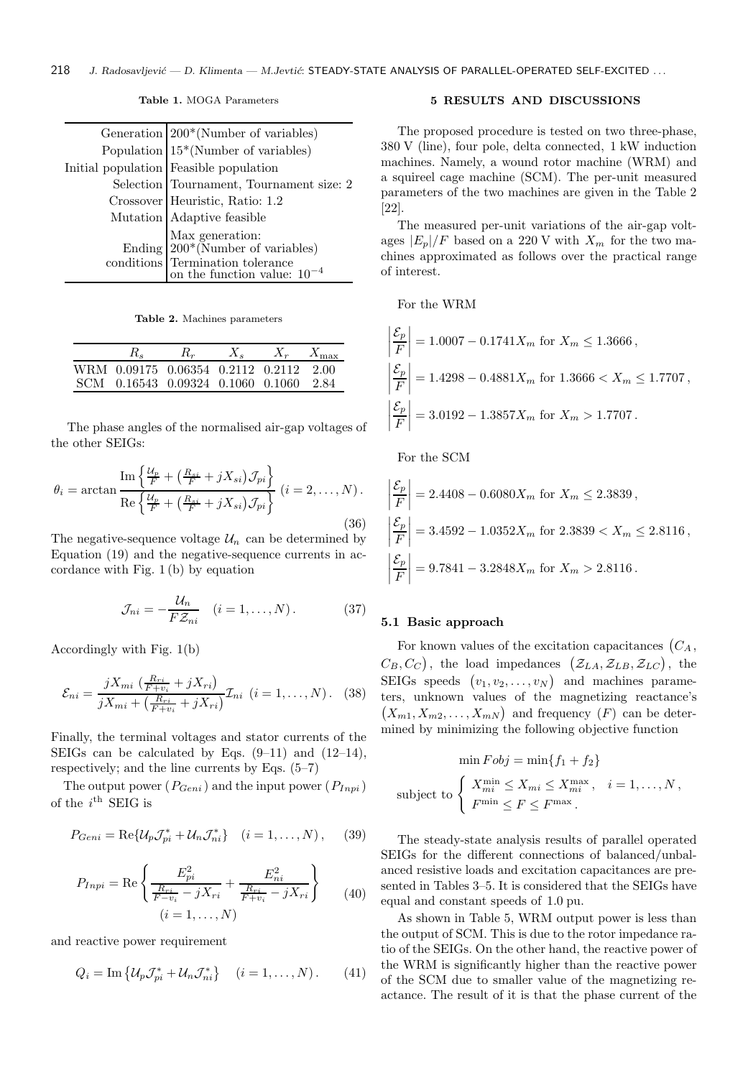| Generation $200*(Number of variables)$                                                                                                                                                                                                                                                                         |
|----------------------------------------------------------------------------------------------------------------------------------------------------------------------------------------------------------------------------------------------------------------------------------------------------------------|
| Population $15*(Number of variables)$                                                                                                                                                                                                                                                                          |
| Initial population Feasible population                                                                                                                                                                                                                                                                         |
| Selection Tournament, Tournament size: 2                                                                                                                                                                                                                                                                       |
| Crossover Heuristic, Ratio: 1.2                                                                                                                                                                                                                                                                                |
|                                                                                                                                                                                                                                                                                                                |
| $\begin{tabular}{l l} \multicolumn{1}{l}{\text{Mutation}} & \multicolumn{1}{l}{Adaptive feasible} \\ \multicolumn{1}{l}{Max generation:} & \multicolumn{1}{l}{Max generation:} \\ Ending & 200*(Number of variables) \\ \end{tabular}$<br>conditions Termination tolerance<br>on the function value: $10^{-4}$ |

Table 1. MOGA Parameters

Table 2. Machines parameters

| $R_{\rm e}$ | $R_r$                                  | $X_{s}$ | $X_r$ $X_{\text{max}}$ |
|-------------|----------------------------------------|---------|------------------------|
|             | WRM 0.09175 0.06354 0.2112 0.2112 2.00 |         |                        |
|             | SCM 0.16543 0.09324 0.1060 0.1060 2.84 |         |                        |

The phase angles of the normalised air-gap voltages of the other SEIGs:

$$
\theta_i = \arctan \frac{\operatorname{Im} \left\{ \frac{\mathcal{U}_p}{F} + \left( \frac{R_{si}}{F} + jX_{si} \right) \mathcal{J}_{pi} \right\}}{\operatorname{Re} \left\{ \frac{\mathcal{U}_p}{F} + \left( \frac{R_{si}}{F} + jX_{si} \right) \mathcal{J}_{pi} \right\}} (i = 2, ..., N).
$$
\n(36)

The negative-sequence voltage  $\mathcal{U}_n$  can be determined by Equation (19) and the negative-sequence currents in accordance with Fig. 1 (b) by equation

$$
\mathcal{J}_{ni} = -\frac{\mathcal{U}_n}{F\mathcal{Z}_{ni}} \quad (i = 1, \dots, N). \tag{37}
$$

Accordingly with Fig. 1(b)

$$
\mathcal{E}_{ni} = \frac{jX_{mi} \left( \frac{R_{ri}}{F + v_i} + jX_{ri} \right)}{jX_{mi} + \left( \frac{R_{ri}}{F + v_i} + jX_{ri} \right)} \mathcal{I}_{ni} \ (i = 1, \dots, N). \tag{38}
$$

Finally, the terminal voltages and stator currents of the SEIGs can be calculated by Eqs.  $(9-11)$  and  $(12-14)$ , respectively; and the line currents by Eqs. (5–7)

The output power  $(P_{Geni})$  and the input power  $(P_{Inpi})$ of the  $i^{\text{th}}$  SEIG is

$$
P_{Geni} = \text{Re}\{\mathcal{U}_p \mathcal{J}_{pi}^* + \mathcal{U}_n \mathcal{J}_{ni}^*\} \quad (i = 1, \dots, N), \quad (39)
$$

$$
P_{Inpi} = \text{Re}\left\{\frac{E_{pi}^2}{\frac{R_{ri}}{F - v_i} - jX_{ri}} + \frac{E_{ni}^2}{\frac{R_{ri}}{F + v_i} - jX_{ri}}\right\}
$$
(40)  

$$
(i = 1, ..., N)
$$

and reactive power requirement

$$
Q_i = \text{Im}\left\{ \mathcal{U}_p \mathcal{J}_{pi}^* + \mathcal{U}_n \mathcal{J}_{ni}^* \right\} \quad (i = 1, \dots, N). \tag{41}
$$

### 5 RESULTS AND DISCUSSIONS

The proposed procedure is tested on two three-phase, 380 V (line), four pole, delta connected, 1 kW induction machines. Namely, a wound rotor machine (WRM) and a squireel cage machine (SCM). The per-unit measured parameters of the two machines are given in the Table 2 [22].

The measured per-unit variations of the air-gap voltages  $|E_p|/F$  based on a 220 V with  $X_m$  for the two machines approximated as follows over the practical range of interest.

For the WRM

$$
\left| \frac{\mathcal{E}_p}{F} \right| = 1.0007 - 0.1741 X_m \text{ for } X_m \le 1.3666 ,
$$
  
\n
$$
\left| \frac{\mathcal{E}_p}{F} \right| = 1.4298 - 0.4881 X_m \text{ for } 1.3666 < X_m \le 1.7707 ,
$$
  
\n
$$
\left| \frac{\mathcal{E}_p}{F} \right| = 3.0192 - 1.3857 X_m \text{ for } X_m > 1.7707 .
$$

For the SCM

$$
\left| \frac{\mathcal{E}_p}{F} \right| = 2.4408 - 0.6080 X_m \text{ for } X_m \le 2.3839,
$$
  
\n
$$
\left| \frac{\mathcal{E}_p}{F} \right| = 3.4592 - 1.0352 X_m \text{ for } 2.3839 < X_m \le 2.8116,
$$
  
\n
$$
\left| \frac{\mathcal{E}_p}{F} \right| = 9.7841 - 3.2848 X_m \text{ for } X_m > 2.8116.
$$

## 5.1 Basic approach

For known values of the excitation capacitances  $(C_A,$  $(C_B, C_C)$ , the load impedances  $(\mathcal{Z}_{LA}, \mathcal{Z}_{LB}, \mathcal{Z}_{LC})$ , the SEIGs speeds  $(v_1, v_2, \ldots, v_N)$  and machines parameters, unknown values of the magnetizing reactance's  $(X_{m1}, X_{m2}, \ldots, X_{mN})$  and frequency  $(F)$  can be determined by minimizing the following objective function

$$
\min Fobj = \min\{f_1 + f_2\}
$$
  
subject to 
$$
\begin{cases} X_{mi}^{min} \le X_{mi} \le X_{mi}^{max}, & i = 1, ..., N, \\ F^{min} \le F \le F^{max}. \end{cases}
$$

The steady-state analysis results of parallel operated SEIGs for the different connections of balanced/unbalanced resistive loads and excitation capacitances are presented in Tables 3–5. It is considered that the SEIGs have equal and constant speeds of 1.0 pu.

As shown in Table 5, WRM output power is less than the output of SCM. This is due to the rotor impedance ratio of the SEIGs. On the other hand, the reactive power of the WRM is significantly higher than the reactive power of the SCM due to smaller value of the magnetizing reactance. The result of it is that the phase current of the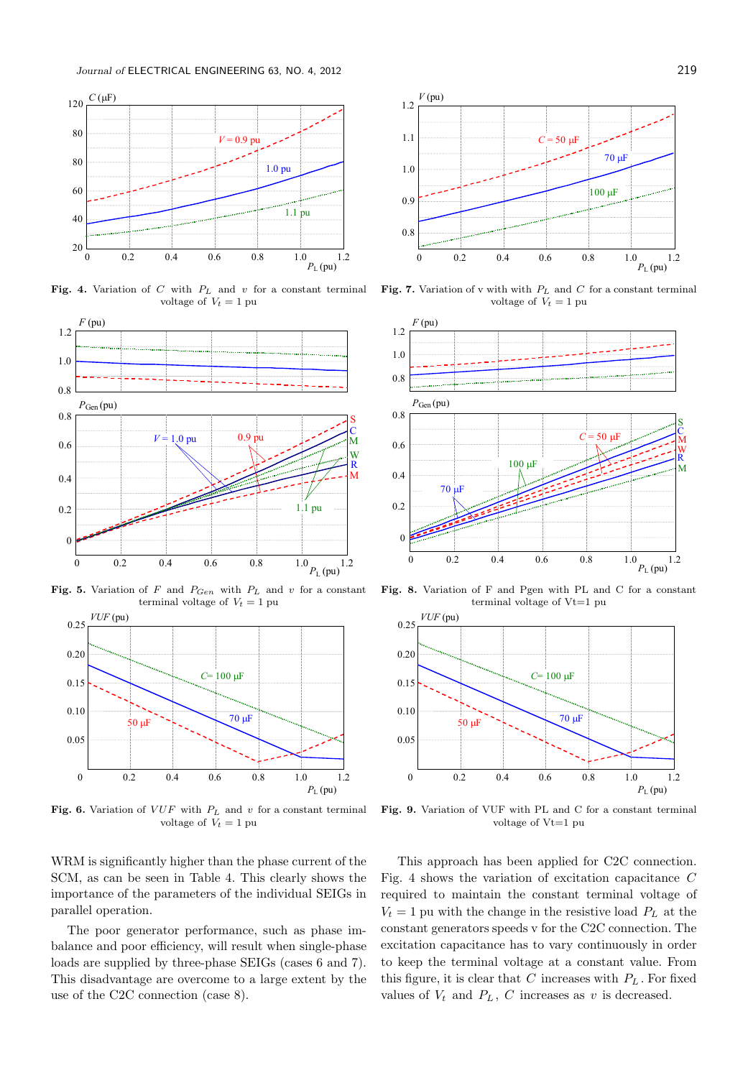

Fig. 4. Variation of  $C$  with  $P_L$  and  $v$  for a constant terminal voltage of  $V_t = 1$  pu



Fig. 5. Variation of F and  $P_{Gen}$  with  $P_L$  and v for a constant terminal voltage of  $V_t = 1$  pu



Fig. 6. Variation of  $VUF$  with  $P<sub>L</sub>$  and v for a constant terminal voltage of  $V_t = 1$  pu

WRM is significantly higher than the phase current of the SCM, as can be seen in Table 4. This clearly shows the importance of the parameters of the individual SEIGs in parallel operation.

The poor generator performance, such as phase imbalance and poor efficiency, will result when single-phase loads are supplied by three-phase SEIGs (cases 6 and 7). This disadvantage are overcome to a large extent by the use of the C2C connection (case 8).



Fig. 7. Variation of v with with  $P_L$  and  $C$  for a constant terminal voltage of  $V_t = 1$  pu



Fig. 8. Variation of F and Pgen with PL and C for a constant terminal voltage of Vt=1 pu



Fig. 9. Variation of VUF with PL and C for a constant terminal voltage of Vt=1 pu

This approach has been applied for C2C connection. Fig. 4 shows the variation of excitation capacitance C required to maintain the constant terminal voltage of  $V_t = 1$  pu with the change in the resistive load  $P_L$  at the constant generators speeds v for the C2C connection. The excitation capacitance has to vary continuously in order to keep the terminal voltage at a constant value. From this figure, it is clear that  $C$  increases with  $P_L$ . For fixed values of  $V_t$  and  $P_L$ , C increases as v is decreased.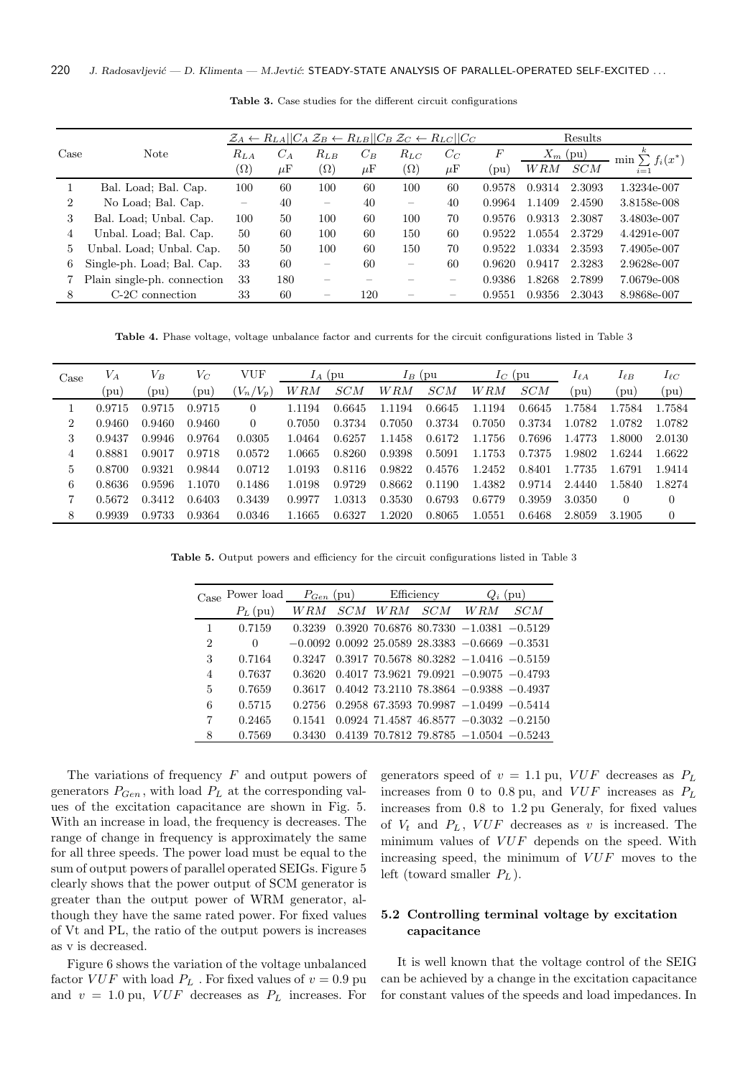|                |                             | $\mathcal{Z}_A \leftarrow R_{LA}    C_A Z_B \leftarrow R_{LB}    C_B Z_C \leftarrow R_{LC}    C_C$ |         |            |         |                          |                                 |        | Results    |        |                      |  |
|----------------|-----------------------------|----------------------------------------------------------------------------------------------------|---------|------------|---------|--------------------------|---------------------------------|--------|------------|--------|----------------------|--|
| Case           | <b>Note</b>                 | $R_{LA}$                                                                                           | $C_A$   | $R_{LB}$   | $C_B$   | $R_{LC}$                 | $C_C$                           | $_{F}$ | $X_m$ (pu) |        | $\min \sum f_i(x^*)$ |  |
|                |                             | $(\Omega)$                                                                                         | $\mu$ F | $(\Omega)$ | $\mu$ F | $(\Omega)$               | $\mu$ F                         | (pu)   | WRM        | SCM    | $i=1$                |  |
|                | Bal. Load; Bal. Cap.        | 100                                                                                                | 60      | 100        | 60      | 100                      | 60                              | 0.9578 | 0.9314     | 2.3093 | 1.3234e-007          |  |
| $\overline{2}$ | No Load; Bal. Cap.          | -                                                                                                  | 40      |            | 40      | $\overline{\phantom{0}}$ | 40                              | 0.9964 | 1.1409     | 2.4590 | 3.8158e-008          |  |
| 3              | Bal. Load; Unbal. Cap.      | 100                                                                                                | 50      | 100        | 60      | 100                      | 70                              | 0.9576 | 0.9313     | 2.3087 | 3.4803e-007          |  |
| 4              | Unbal. Load; Bal. Cap.      | 50                                                                                                 | 60      | 100        | 60      | 150                      | 60                              | 0.9522 | 1.0554     | 2.3729 | 4.4291e-007          |  |
| 5              | Unbal. Load; Unbal. Cap.    | 50                                                                                                 | 50      | 100        | 60      | 150                      | 70                              | 0.9522 | 1.0334     | 2.3593 | 7.4905e-007          |  |
| 6              | Single-ph. Load; Bal. Cap.  | 33                                                                                                 | 60      | -          | 60      | —                        | 60                              | 0.9620 | 0.9417     | 2.3283 | 2.9628e-007          |  |
|                | Plain single-ph. connection | 33                                                                                                 | 180     |            |         |                          | $\hspace{0.1mm}-\hspace{0.1mm}$ | 0.9386 | 1.8268     | 2.7899 | 7.0679e-008          |  |
| 8              | C-2C connection             | 33                                                                                                 | 60      | -          | 120     |                          |                                 | 0.9551 | 0.9356     | 2.3043 | 8.9868e-007          |  |

Table 3. Case studies for the different circuit configurations

Table 4. Phase voltage, voltage unbalance factor and currents for the circuit configurations listed in Table 3

| Case           | $V_{A}$ | $V_B\,$ | $V_C$  | VUF         |        | $I_A$ (pu |        | $I_B$ (pu |        | $I_C$ (pu | $I_{\ell A}$ | $I_{\ell B}$ | $I_{\ell C}$   |
|----------------|---------|---------|--------|-------------|--------|-----------|--------|-----------|--------|-----------|--------------|--------------|----------------|
|                | (pu)    | (pu)    | (pu    | $(V_n/V_p)$ | WRM    | SCM       | WRM    | SCM       | WRM    | SCM       | (pu)         | (pu)         | (pu)           |
|                | 0.9715  | 0.9715  | 0.9715 | 0           | 1.1194 | 0.6645    | 1.1194 | 0.6645    | 1.1194 | 0.6645    | 1.7584       | 1.7584       | 1.7584         |
| $\overline{2}$ | 0.9460  | 0.9460  | 0.9460 | 0           | 0.7050 | 0.3734    | 0.7050 | 0.3734    | 0.7050 | 0.3734    | 1.0782       | 1.0782       | 1.0782         |
| 3              | 0.9437  | 0.9946  | 0.9764 | 0.0305      | 1.0464 | 0.6257    | 1.1458 | 0.6172    | 1.1756 | 0.7696    | 1.4773       | 1.8000       | 2.0130         |
| 4              | 0.8881  | 0.9017  | 0.9718 | 0.0572      | 1.0665 | 0.8260    | 0.9398 | 0.5091    | 1.1753 | 0.7375    | 1.9802       | 1.6244       | 1.6622         |
| $\mathbf{5}$   | 0.8700  | 0.9321  | 0.9844 | 0.0712      | 1.0193 | 0.8116    | 0.9822 | 0.4576    | 1.2452 | 0.8401    | 1.7735       | 1.6791       | 1.9414         |
| 6              | 0.8636  | 0.9596  | 1.1070 | 0.1486      | 1.0198 | 0.9729    | 0.8662 | 0.1190    | 1.4382 | 0.9714    | 2.4440       | 1.5840       | 1.8274         |
| $\overline{7}$ | 0.5672  | 0.3412  | 0.6403 | 0.3439      | 0.9977 | 1.0313    | 0.3530 | 0.6793    | 0.6779 | 0.3959    | 3.0350       | $\Omega$     | 0              |
| 8              | 0.9939  | 0.9733  | 0.9364 | 0.0346      | 1.1665 | 0.6327    | 1.2020 | 0.8065    | 1.0551 | 0.6468    | 2.8059       | 3.1905       | $\overline{0}$ |

Table 5. Output powers and efficiency for the circuit configurations listed in Table 3

|                | $Case$ Power load | $P_{Gen}$ (pu) |         | Efficiency | $Q_i$ (pu)                                           |            |  |
|----------------|-------------------|----------------|---------|------------|------------------------------------------------------|------------|--|
|                | $P_L$ (pu)        | WRM            | SCM WRM | SCM        | WRM                                                  | <i>SCM</i> |  |
|                | 0.7159            | 0.3239         |         |            | $0.3920$ 70.6876 80.7330 $-1.0381$ $-0.5129$         |            |  |
| $\overline{2}$ | 0                 |                |         |            | $-0.0092$ 0.0092 25.0589 28.3383 $-0.6669$ $-0.3531$ |            |  |
| 3              | 0.7164            | 0.3247         |         |            | $0.3917$ 70.5678 80.3282 -1.0416 -0.5159             |            |  |
| $\overline{4}$ | 0.7637            | 0.3620         |         |            | $0.4017$ 73.9621 79.0921 $-0.9075$ $-0.4793$         |            |  |
| 5              | 0.7659            | 0.3617         |         |            | $0.4042$ 73.2110 78.3864 $-0.9388$ $-0.4937$         |            |  |
| 6              | 0.5715            | 0.2756         |         |            | $0.2958$ 67.3593 70.9987 $-1.0499$ $-0.5414$         |            |  |
| 7              | 0.2465            | 0.1541         |         |            | $0.0924$ 71.4587 46.8577 $-0.3032$ $-0.2150$         |            |  |
| 8              | 0.7569            | 0.3430         |         |            | $0.4139$ 70.7812 79.8785 $-1.0504$ $-0.5243$         |            |  |

The variations of frequency  $F$  and output powers of generators  $P_{Gen}$ , with load  $P_L$  at the corresponding values of the excitation capacitance are shown in Fig. 5. With an increase in load, the frequency is decreases. The range of change in frequency is approximately the same for all three speeds. The power load must be equal to the sum of output powers of parallel operated SEIGs. Figure 5 clearly shows that the power output of SCM generator is greater than the output power of WRM generator, although they have the same rated power. For fixed values of Vt and PL, the ratio of the output powers is increases as v is decreased.

Figure 6 shows the variation of the voltage unbalanced factor  $VUF$  with load  $P_L$ . For fixed values of  $v = 0.9$  pu and  $v = 1.0$  pu,  $VUF$  decreases as  $P<sub>L</sub>$  increases. For

generators speed of  $v = 1.1$  pu,  $VUF$  decreases as  $P_L$ increases from 0 to 0.8 pu, and  $VUF$  increases as  $P<sub>L</sub>$ increases from 0.8 to 1.2 pu Generaly, for fixed values of  $V_t$  and  $P_L$ ,  $VUF$  decreases as v is increased. The minimum values of  $VUF$  depends on the speed. With increasing speed, the minimum of  $VUF$  moves to the left (toward smaller  $P_L$ ).

## 5.2 Controlling terminal voltage by excitation capacitance

It is well known that the voltage control of the SEIG can be achieved by a change in the excitation capacitance for constant values of the speeds and load impedances. In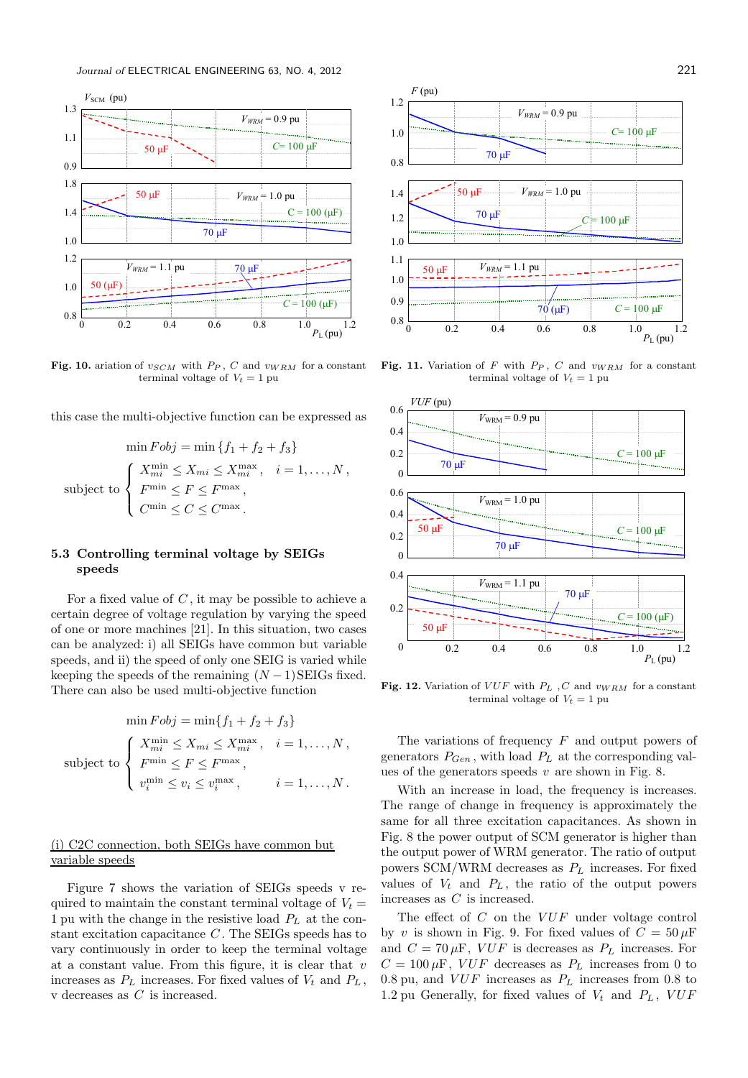Journal of ELECTRICAL ENGINEERING 63, NO. 4, 2012 221



Fig. 10. ariation of  $v_{SCM}$  with  $P_P$ , C and  $v_{WRM}$  for a constant terminal voltage of  $V_t = 1$  pu

this case the multi-objective function can be expressed as

$$
\min Fobj = \min \{f_1 + f_2 + f_3\}
$$
  
\n
$$
\text{subject to } \begin{cases} X_{mi}^{\min} \le X_{mi} \le X_{mi}^{\max}, & i = 1, \dots, N, \\ F^{\min} \le F \le F^{\max}, \\ C^{\min} \le C \le C^{\max}. \end{cases}
$$

## 5.3 Controlling terminal voltage by SEIGs speeds

For a fixed value of  $C$ , it may be possible to achieve a certain degree of voltage regulation by varying the speed of one or more machines [21]. In this situation, two cases can be analyzed: i) all SEIGs have common but variable speeds, and ii) the speed of only one SEIG is varied while keeping the speeds of the remaining  $(N-1)$ SEIGs fixed. There can also be used multi-objective function

$$
\min Fobj = \min\{f_1 + f_2 + f_3\}
$$
  
\nsubject to 
$$
\begin{cases} X_m^{\min} \le X_{mi} \le X_m^{\max}, & i = 1, ..., N, \\ F^{\min} \le F \le F^{\max}, & i = 1, ..., N. \\ v_i^{\min} \le v_i \le v_i^{\max}, & i = 1, ..., N. \end{cases}
$$

## (i) C2C connection, both SEIGs have common but variable speeds

Figure 7 shows the variation of SEIGs speeds v required to maintain the constant terminal voltage of  $V_t =$ 1 pu with the change in the resistive load  $P<sub>L</sub>$  at the constant excitation capacitance C . The SEIGs speeds has to vary continuously in order to keep the terminal voltage at a constant value. From this figure, it is clear that  $v$ increases as  $P_L$  increases. For fixed values of  $V_t$  and  $P_L$ , v decreases as C is increased.



Fig. 11. Variation of F with  $P_P$ , C and  $v_{WRM}$  for a constant terminal voltage of  $V_t = 1$  pu



Fig. 12. Variation of  $VUF$  with  $P_L$ ,  $C$  and  $v_{WRM}$  for a constant terminal voltage of  $V_t = 1$  pu

The variations of frequency  $F$  and output powers of generators  $P_{Gen}$ , with load  $P_L$  at the corresponding values of the generators speeds  $v$  are shown in Fig. 8.

With an increase in load, the frequency is increases. The range of change in frequency is approximately the same for all three excitation capacitances. As shown in Fig. 8 the power output of SCM generator is higher than the output power of WRM generator. The ratio of output powers  $SCM/WRM$  decreases as  $P<sub>L</sub>$  increases. For fixed values of  $V_t$  and  $P_L$ , the ratio of the output powers increases as C is increased.

The effect of  $C$  on the  $VUF$  under voltage control by v is shown in Fig. 9. For fixed values of  $C = 50 \,\mu\text{F}$ and  $C = 70 \,\mu\text{F}$ ,  $VUF$  is decreases as  $P_L$  increases. For  $C = 100 \,\mu\text{F}$ ,  $VUF$  decreases as  $P_L$  increases from 0 to 0.8 pu, and  $VUF$  increases as  $P<sub>L</sub>$  increases from 0.8 to 1.2 pu Generally, for fixed values of  $V_t$  and  $P_L$ ,  $VUF$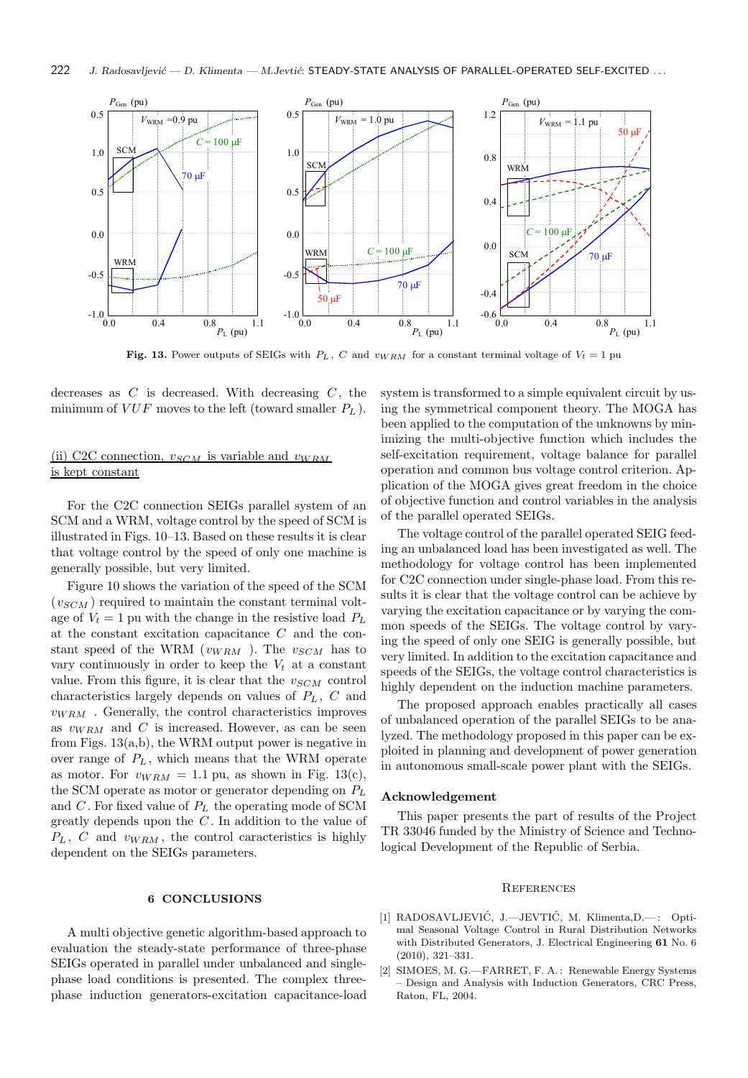

Fig. 13. Power outputs of SEIGs with  $P_L$ , C and  $v_{WRM}$  for a constant terminal voltage of  $V_t = 1$  pu

decreases as  $C$  is decreased. With decreasing  $C$ , the minimum of  $VUF$  moves to the left (toward smaller  $P_L$ ).

## (ii) C2C connection,  $v_{SCM}$  is variable and  $v_{WRM}$ is kept constant

For the C2C connection SEIGs parallel system of an SCM and a WRM, voltage control by the speed of SCM is illustrated in Figs. 10–13. Based on these results it is clear that voltage control by the speed of only one machine is generally possible, but very limited.

Figure 10 shows the variation of the speed of the SCM  $(v_{SCM})$  required to maintain the constant terminal voltage of  $V_t = 1$  pu with the change in the resistive load  $P_L$ at the constant excitation capacitance C and the constant speed of the WRM ( $v_{WRM}$ ). The  $v_{SCM}$  has to vary continuously in order to keep the  $V_t$  at a constant value. From this figure, it is clear that the  $v_{SCM}$  control characteristics largely depends on values of  $P_L$ , C and  $v_{WRM}$ . Generally, the control characteristics improves as  $v_{WRM}$  and C is increased. However, as can be seen from Figs. 13(a,b), the WRM output power is negative in over range of  $P_L$ , which means that the WRM operate as motor. For  $v_{WRM} = 1.1$  pu, as shown in Fig. 13(c), the SCM operate as motor or generator depending on  $P_L$ and  $C$ . For fixed value of  $P_L$  the operating mode of SCM greatly depends upon the  $C$ . In addition to the value of  $P_L$ , C and  $v_{WRM}$ , the control caracteristics is highly dependent on the SEIGs parameters.

## 6 CONCLUSIONS

A multi objective genetic algorithm-based approach to evaluation the steady-state performance of three-phase SEIGs operated in parallel under unbalanced and singlephase load conditions is presented. The complex threephase induction generators-excitation capacitance-load system is transformed to a simple equivalent circuit by using the symmetrical component theory. The MOGA has been applied to the computation of the unknowns by minimizing the multi-objective function which includes the self-excitation requirement, voltage balance for parallel operation and common bus voltage control criterion. Application of the MOGA gives great freedom in the choice of objective function and control variables in the analysis of the parallel operated SEIGs.

The voltage control of the parallel operated SEIG feeding an unbalanced load has been investigated as well. The methodology for voltage control has been implemented for C2C connection under single-phase load. From this results it is clear that the voltage control can be achieve by varying the excitation capacitance or by varying the common speeds of the SEIGs. The voltage control by varying the speed of only one SEIG is generally possible, but very limited. In addition to the excitation capacitance and speeds of the SEIGs, the voltage control characteristics is highly dependent on the induction machine parameters.

The proposed approach enables practically all cases of unbalanced operation of the parallel SEIGs to be analyzed. The methodology proposed in this paper can be exploited in planning and development of power generation in autonomous small-scale power plant with the SEIGs.

#### Acknowledgement

This paper presents the part of results of the Project TR 33046 funded by the Ministry of Science and Technological Development of the Republic of Serbia.

#### **REFERENCES**

- [1] RADOSAVLJEVIĆ, J.—JEVTIĆ, M. Klimenta, D.—: Optimal Seasonal Voltage Control in Rural Distribution Networks with Distributed Generators, J. Electrical Engineering 61 No. 6 (2010), 321–331.
- [2] SIMOES, M. G.—FARRET, F. A. : Renewable Energy Systems – Design and Analysis with Induction Generators, CRC Press, Raton, FL, 2004.